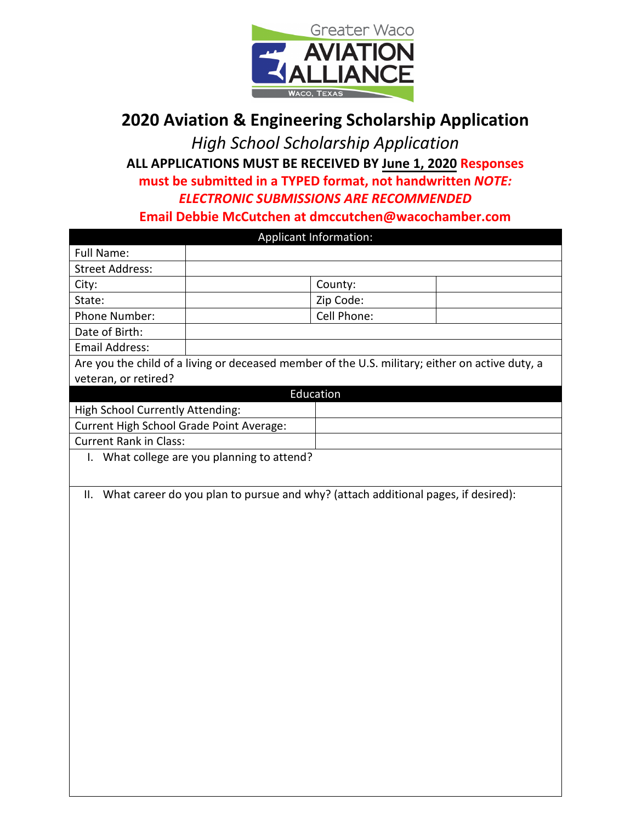

## **2020 Aviation & Engineering Scholarship Application**

*High School Scholarship Application*  **ALL APPLICATIONS MUST BE RECEIVED BY June 1, 2020 Responses must be submitted in a TYPED format, not handwritten** *NOTE: ELECTRONIC SUBMISSIONS ARE RECOMMENDED* **Email Debbie McCutchen at dmccutchen@wacochamber.com**

| Applicant Information:                                                            |                                                                                                 |             |  |  |
|-----------------------------------------------------------------------------------|-------------------------------------------------------------------------------------------------|-------------|--|--|
| Full Name:                                                                        |                                                                                                 |             |  |  |
| <b>Street Address:</b>                                                            |                                                                                                 |             |  |  |
| City:                                                                             |                                                                                                 | County:     |  |  |
| State:                                                                            |                                                                                                 | Zip Code:   |  |  |
| Phone Number:                                                                     |                                                                                                 | Cell Phone: |  |  |
| Date of Birth:                                                                    |                                                                                                 |             |  |  |
| <b>Email Address:</b>                                                             |                                                                                                 |             |  |  |
|                                                                                   | Are you the child of a living or deceased member of the U.S. military; either on active duty, a |             |  |  |
| veteran, or retired?                                                              |                                                                                                 |             |  |  |
|                                                                                   |                                                                                                 | Education   |  |  |
| High School Currently Attending:                                                  |                                                                                                 |             |  |  |
| Current High School Grade Point Average:                                          |                                                                                                 |             |  |  |
| <b>Current Rank in Class:</b>                                                     |                                                                                                 |             |  |  |
|                                                                                   | I. What college are you planning to attend?                                                     |             |  |  |
|                                                                                   |                                                                                                 |             |  |  |
| ΙΙ.                                                                               |                                                                                                 |             |  |  |
| What career do you plan to pursue and why? (attach additional pages, if desired): |                                                                                                 |             |  |  |
|                                                                                   |                                                                                                 |             |  |  |
|                                                                                   |                                                                                                 |             |  |  |
|                                                                                   |                                                                                                 |             |  |  |
|                                                                                   |                                                                                                 |             |  |  |
|                                                                                   |                                                                                                 |             |  |  |
|                                                                                   |                                                                                                 |             |  |  |
|                                                                                   |                                                                                                 |             |  |  |
|                                                                                   |                                                                                                 |             |  |  |
|                                                                                   |                                                                                                 |             |  |  |
|                                                                                   |                                                                                                 |             |  |  |
|                                                                                   |                                                                                                 |             |  |  |
|                                                                                   |                                                                                                 |             |  |  |
|                                                                                   |                                                                                                 |             |  |  |
|                                                                                   |                                                                                                 |             |  |  |
|                                                                                   |                                                                                                 |             |  |  |
|                                                                                   |                                                                                                 |             |  |  |
|                                                                                   |                                                                                                 |             |  |  |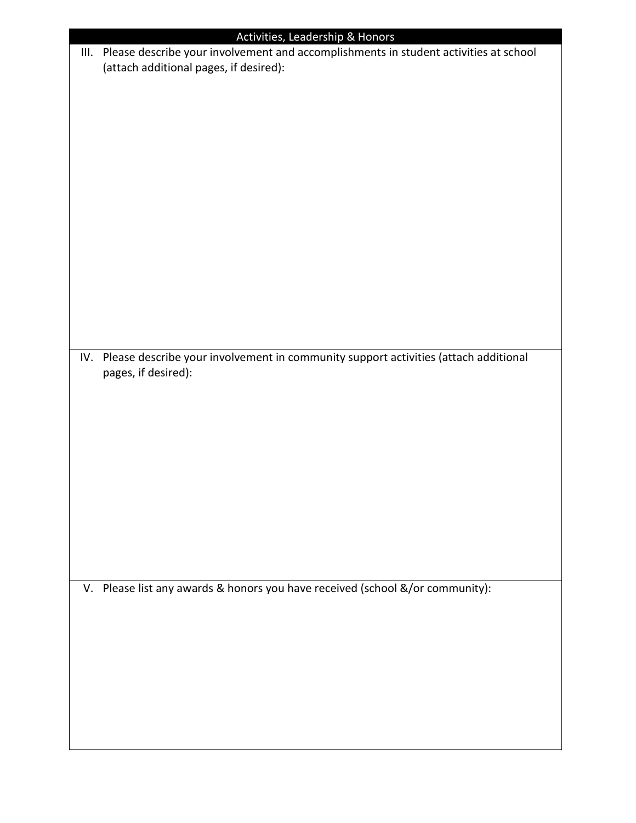| Activities, Leadership & Honors |                                                                                           |  |  |
|---------------------------------|-------------------------------------------------------------------------------------------|--|--|
|                                 | III. Please describe your involvement and accomplishments in student activities at school |  |  |
|                                 | (attach additional pages, if desired):                                                    |  |  |
|                                 |                                                                                           |  |  |
|                                 |                                                                                           |  |  |
|                                 |                                                                                           |  |  |
|                                 |                                                                                           |  |  |
|                                 |                                                                                           |  |  |
|                                 |                                                                                           |  |  |
|                                 |                                                                                           |  |  |
|                                 |                                                                                           |  |  |
|                                 |                                                                                           |  |  |
|                                 |                                                                                           |  |  |
|                                 |                                                                                           |  |  |
|                                 |                                                                                           |  |  |
|                                 |                                                                                           |  |  |
|                                 |                                                                                           |  |  |
|                                 |                                                                                           |  |  |
|                                 |                                                                                           |  |  |
|                                 |                                                                                           |  |  |
|                                 |                                                                                           |  |  |
|                                 |                                                                                           |  |  |
|                                 | IV. Please describe your involvement in community support activities (attach additional   |  |  |
|                                 | pages, if desired):                                                                       |  |  |
|                                 |                                                                                           |  |  |
|                                 |                                                                                           |  |  |
|                                 |                                                                                           |  |  |
|                                 |                                                                                           |  |  |
|                                 |                                                                                           |  |  |
|                                 |                                                                                           |  |  |
|                                 |                                                                                           |  |  |
|                                 |                                                                                           |  |  |
|                                 |                                                                                           |  |  |
|                                 |                                                                                           |  |  |
|                                 |                                                                                           |  |  |
|                                 |                                                                                           |  |  |
|                                 |                                                                                           |  |  |
|                                 |                                                                                           |  |  |
|                                 | V. Please list any awards & honors you have received (school &/or community):             |  |  |
|                                 |                                                                                           |  |  |
|                                 |                                                                                           |  |  |
|                                 |                                                                                           |  |  |
|                                 |                                                                                           |  |  |
|                                 |                                                                                           |  |  |
|                                 |                                                                                           |  |  |
|                                 |                                                                                           |  |  |
|                                 |                                                                                           |  |  |
|                                 |                                                                                           |  |  |
|                                 |                                                                                           |  |  |
|                                 |                                                                                           |  |  |